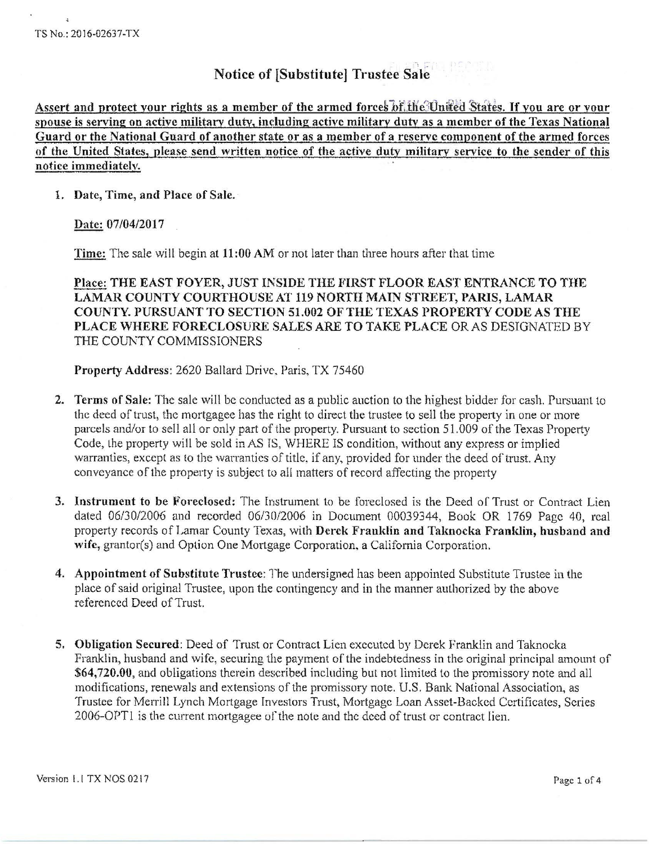# Notice of [Substitute] Trustee Sale

Assert and protect your rights as a member of the armed forces of the United States. If you are or your spouse is serving on active military duty, including active military duty as a member of the Texas National Guard or the National Guard of another state or as a member of a reserve component of the armed forces of the United States, please send written notice of the active duty militarv service to the sender of this notice immediatelv.

#### 1. Date, Time, and Place of Sale.

Date: 07/04/2017

Time: The sale will begin at 11 :00 AM or not later than three hours after that time

Place: THE EAST FOYER, JUST INSIDE THE FIRST FLOOR EAST ENTRANCE TO THE LAMAR COUNTY COURTHOUSE AT 119 NORTH MAIN STREET, PARIS, LAMAR COUNTY. PURSUANT TO SECTION 51.002 OF THE TEXAS PROPERTY CODE AS THE PLACE WHERE FORECLOSURE SALES ARE TO TAKE PLACE OR AS DESIGNATED BY THE COUNTY COMMISSIONERS

Property Address: 2620 Ballard Drive, Paris, TX 75460

- 2. Terms of Sale: The sale will be conducted as a public auction to the highest bidder for cash. Pursuant to the deed of trust, the mortgagee has the right to direct the trustee to sell the property in one or more parcels and/or to sell all or only part of the property. Pursuant to section 51.009 of the Texas Property Code, the property will be sold in AS IS, WHERE IS condition, without any express or implied warranties, except as to the warranties of title, if any, provided for under the deed of trust. Any conveyance of the property is subject to all matters of record affecting the property
- 3. Instrument to be Foreclosed: The Instrument to be foreclosed is the Deed of Trust or Contract Lien dated 06/30/2006 and recorded 06/30/2006 in Document 00039344, Book OR 1769 Page 40, real property records of Lamar County Texas, with Derck Franklin and Taknocka Franklin, husband and wife, grantor(s) and Option One Mortgage Corporation, a California Corporation.
- 4. Appointment of Substitute Trustee: The undersigned has been appointed Substitute Trustee in the place of said original Trustee, upon the contingency and in the manner authorized by the above referenced Deed of Trust.
- 5. Obligation Secured: Deed of Trust or Contract Lien executed by Derek Franklin and Taknocka Franklin, husband and wife, securing the payment of the indebtedness in the original principal amount of \$64,720.00, and obligations therein described including but not limited to the promissory note and all modifications, renewals and extensions of the promissory note. U.S. Bank National Association, as Trustee for Merrill Lynch Mortgage Investors Trust, Mortgage Loan Asset-Backed Certificates, Series 2006-0PTI is the current mortgagee of the note and the deed of trust or contract lien.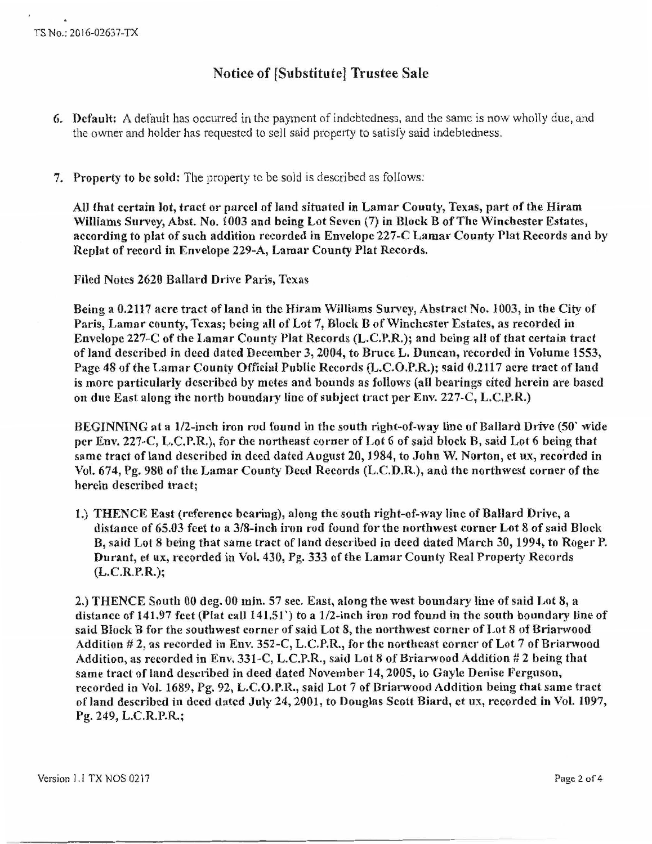# Notice of [Substitutel Trustee Sale

- 6. Default: A default has occurred in the payment of indebtedness, and the same is now wholly due, and the owner and holder has requested to sell said property to satisfy said indebtedness.
- 7. Property to be sold: The property to be sold is described as follows:

All that certain Jot, tract or parcel of land situated in Lamar County, Texas, part of the Hiram Williams Survey, Abst. No. 1003 and being Lot Seven (7) in Block B of The Winchester Estates, according to plat of such addition recorded in Envelope 227-C Lamar County Plat Records and by Rcplat of record in Envelope 229-A, Lamar County Plat Records.

Filed Notes 2620 Ballard Drive Paris, Texas

Being a 0.2117 acre tract of land in the Hiram Williams Survey, Abstract No. 1003, in the City of Paris, Lamar county, Texas; being all of Lot 7, Block B of\Vinchester Estates, as recorded in Envelope 227-C of the Lamar County Plat Records (L.C.P.R.); and being all of that certain tract of Jand described in deed dated December 3, 2004, to Bruce L. Duncan, recorded in Volume 1553, Page 48 of the Lamar County Official Public Records (L.C.O.P.R.); said 0.2117 acre tract of land is more particularly described by metes and bounds as follows (all bearings cited herein are based on due East along the north boundary line of subject tract per Env. 227-C, L.C.P.R.)

BEGINNING at a 1/2-inch iron rod found in the south right-of-way line of Ballard Drive (50' wide per Env. 227-C, L.C.P.R.), for the northeast corner of Lot 6 of said block B, said Lot 6 being that same tract of land described in deed dated August 20, 1984, to John W. Norton, et ux, recorded in Vol. 674, Pg. 980 of the Lamar County Deed Records (L.C.D.R.), and the northwest corner of the herein described tract;

1.) THENCE East (reference bearing), along the south right-of-way line of Ballard Drive, a distance of 65.03 feet to a 3/8-inch iron rod found for the northwest corner Lot 8 of said Block B, said Lot 8 being that same tract of land described in deed dated March 30, 1994, to Roger P. Durant, et ux, recorded in Vol. 430, Pg. 333 of the Lamar County Real Property Records (L.C.R.P.R.);

2.) THENCE South 00 deg. 00 min. 57 sec. East, along the west boundary Jine of said Lot 8, a distance of 141.97 feet (Plat call 141.51) to a 1/2-inch iron rod found in the south boundary line of said Block B for the southwest corner of said Lot 8, the northwest corner of Lot 8 of Briarwood Addition # 2, as recorded in Env. 352-C, L.C.P.R., for the northeast corner of Lot 7 of Briarwood Addition, as recorded in Env. 331-C, L.C.P.R., said Lot 8 of Briarwood Addition # 2 being that same tract of land described in deed dated November 14, 2005, to Gayle Denise Ferguson, recorded in Vol. 1689, Pg. 92, L.C.O.P.R., said Lot 7 of Briarwood Addition being that same tract of land described in deed dated July 24, 2001, to Douglas Scott Biard, ct ux, recorded in Vol. 1097, Pg. 249, L.C.R.P.R.;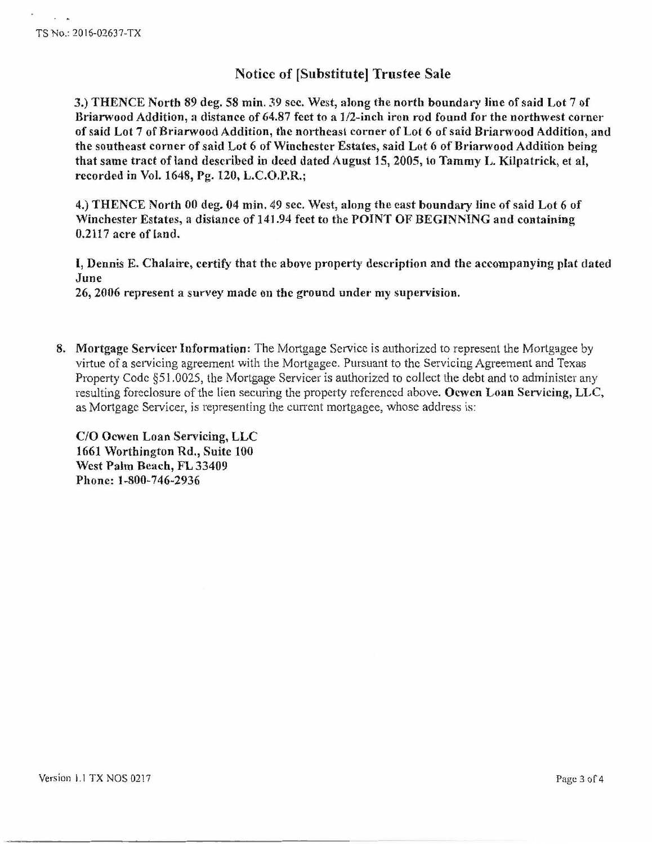$\overline{a}$ 

## Notice of [Substitute] Trustee Sale

3.) THENCE North 89 deg. 58 min. *Y.9* sec. West, along the north boundary line of said Lot 7 of Briarwood Addition, a distance of 64.87 feet to a 1/2-inch iron rod found for the northwest corner of said Lot 7 of Briarwood Addition, the northeast corner of Lot 6 of said Briarwood Addition, and the southeast corner of said Lot 6 of Winchester Estates, said Lot 6 of Briarwood Addition being that same tract of land described in deed dated August 15, 2005, to Tammy L. Kilpatrick, et al, recorded in Vol. 1648, Pg. 120, L.C.O.P.R.;

4.) THENCE North 00 deg. 04 min. 49 sec. West, along the cast boundary line of said Lot 6 of Winchester Estates, a distance of 141.94 feet to the POINT OF BEGINNING and containing 0.2117 acre of land.

I, Dennis E. Chalairc, certify that the above property description and the accompanying plat dated June

26, 2006 represent a survey made on the ground under my supervision.

8. Mortgage Servicer Information: The Mortgage Service is authorized to represent the Mortgagee by virtue of a servicing agreement with the Mortgagee. Pursuant to the Servicing Agreement and Texas Property Code §51.0025, the Mortgage Servicer is authorized to collect the debt and to administer any resulting foreclosure of the lien securing the property referenced above. Ocwen Loan Servicing, LLC, as Mortgage Servicer, is representing the current mortgagee, whose address is:

C/O Ocwen Loan Servicing, LLC 1661 \Vorthington Rd., Suite 100 West Palm Beach, FL 33409 Phone: 1-800-746-2936

Version 1.1 TX NOS 0217 Page 3 of 4